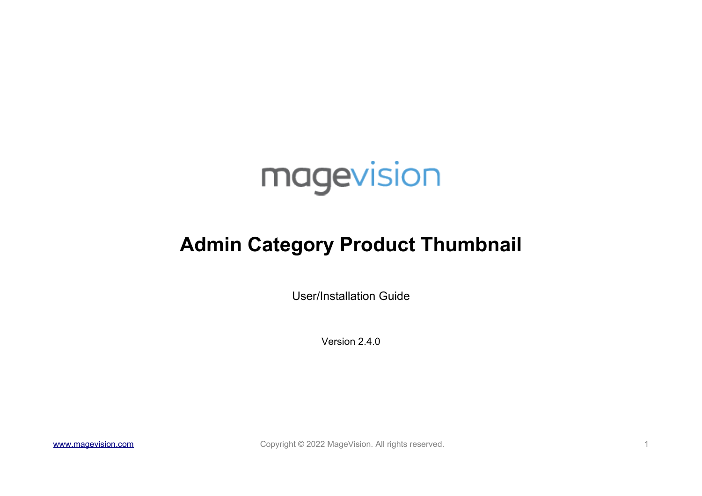

# **Admin Category Product Thumbnail**

User/Installation Guide

Version 2.4.0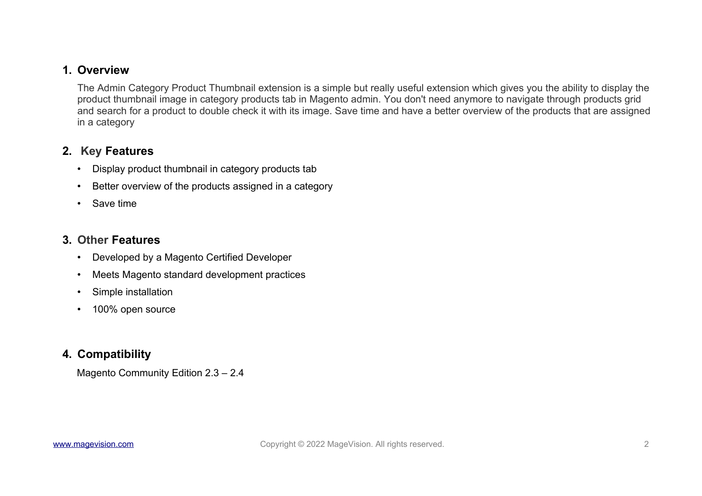#### **1. Overview**

The Admin Category Product Thumbnail extension is a simple but really useful extension which gives you the ability to display the product thumbnail image in category products tab in Magento admin. You don't need anymore to navigate through products grid and search for a product to double check it with its image. Save time and have a better overview of the products that are assigned in a category

## **2. Key Features**

- Display product thumbnail in category products tab
- Better overview of the products assigned in a category
- Save time

## **3. Other Features**

- Developed by a Magento Certified Developer
- Meets Magento standard development practices
- Simple installation
- 100% open source

## **4. Compatibility**

Magento Community Edition 2.3 – 2.4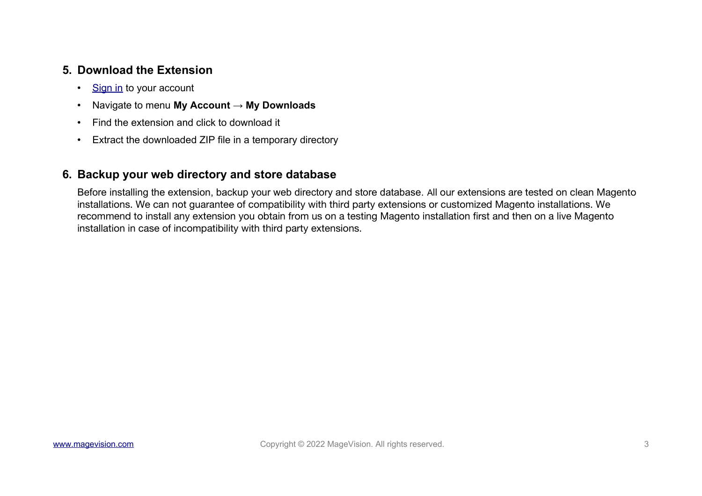#### **5. Download the Extension**

- [Sign in](https://www.magevision.com/customer/account/login/) to your account
- Navigate to menu **My Account → My Downloads**
- Find the extension and click to download it
- Extract the downloaded ZIP file in a temporary directory

#### **6. Backup your web directory and store database**

Before installing the extension, backup your web directory and store database. All our extensions are tested on clean Magento installations. We can not guarantee of compatibility with third party extensions or customized Magento installations. We recommend to install any extension you obtain from us on a testing Magento installation first and then on a live Magento installation in case of incompatibility with third party extensions.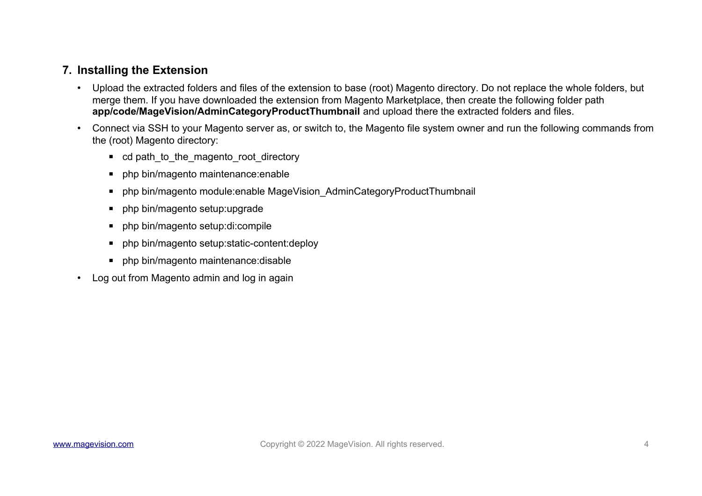#### **7. Installing the Extension**

- Upload the extracted folders and files of the extension to base (root) Magento directory. Do not replace the whole folders, but merge them. If you have downloaded the extension from Magento Marketplace, then create the following folder path **app/code/MageVision/AdminCategoryProductThumbnail** and upload there the extracted folders and files.
- Connect via SSH to your Magento server as, or switch to, the Magento file system owner and run the following commands from the (root) Magento directory:
	- cd path\_to\_the\_magento\_root\_directory
	- php bin/magento maintenance:enable
	- php bin/magento module:enable MageVision AdminCategoryProductThumbnail
	- **•** php bin/magento setup:upgrade
	- php bin/magento setup:di:compile
	- php bin/magento setup: static-content: deploy
	- php bin/magento maintenance: disable
- Log out from Magento admin and log in again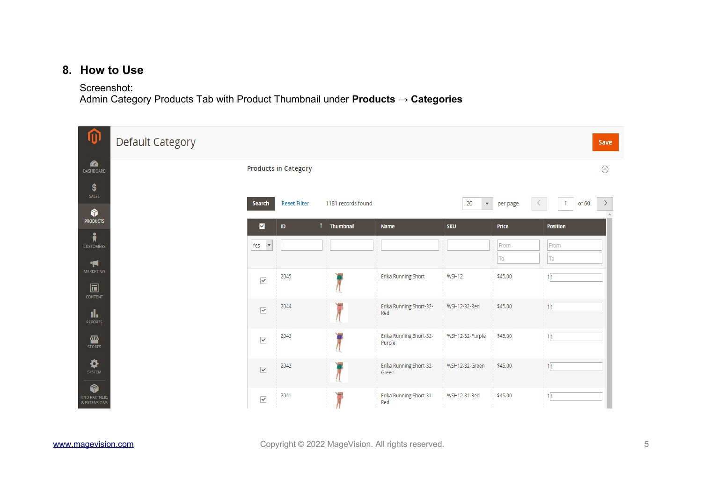#### **8. How to Use**

Screenshot:

Admin Category Products Tab with Product Thumbnail under **Products → Categories**

| ⋒                                         | <b>Default Category</b> |                                  |                             |                    |                                   |                          |                                          |                       | Save    |
|-------------------------------------------|-------------------------|----------------------------------|-----------------------------|--------------------|-----------------------------------|--------------------------|------------------------------------------|-----------------------|---------|
| $\bullet$<br>DASHBOARD                    |                         |                                  | <b>Products in Category</b> |                    |                                   |                          |                                          |                       | $\odot$ |
| \$<br>SALES<br>۱                          |                         | Search                           | <b>Reset Filter</b>         | 1181 records found |                                   | 20<br>$\bar{\mathbf{v}}$ | per page<br>$\left\langle \right\rangle$ | of 60<br>$\mathbf{1}$ | $\,$    |
| <b>PRODUCTS</b>                           |                         | M                                | Ť<br>ID                     | Thumbnail          | <b>Name</b>                       | <b>SKU</b>               | Price                                    | Position              |         |
| Å<br><b>CUSTOMERS</b>                     |                         | Yes<br>$\boldsymbol{\mathrm{v}}$ |                             |                    |                                   |                          | From                                     | From                  |         |
| H<br>MARKETING                            |                         |                                  | 2045                        |                    |                                   | WSH12                    | To<br>\$45.00                            | To                    |         |
| $\square$<br>CONTENT                      |                         | $\checkmark$                     |                             |                    | Erika Running Short               |                          |                                          | 1 1                   |         |
| ıl.<br><b>REPORTS</b>                     |                         | $\blacktriangledown$             | 2044                        |                    | Erika Running Short-32-<br>Red    | WSH12-32-Red             | \$45.00                                  | 1 1                   |         |
| 伵<br><b>STORES</b>                        |                         | $\checkmark$                     | 2043                        |                    | Erika Running Short-32-<br>Purple | WSH12-32-Purple          | \$45.00                                  | 11                    |         |
| ✿<br>SYSTEM                               |                         | $\overline{\checkmark}$          | 2042                        |                    | Erika Running Short-32-<br>Green  | WSH12-32-Green           | \$45.00                                  | 11                    |         |
| Ô<br><b>FIND PARTNERS</b><br>& EXTENSIONS |                         | $\checkmark$                     | 2041                        |                    | Erika Running Short-31-<br>Red    | WSH12-31-Red             | \$45.00                                  | 111                   |         |